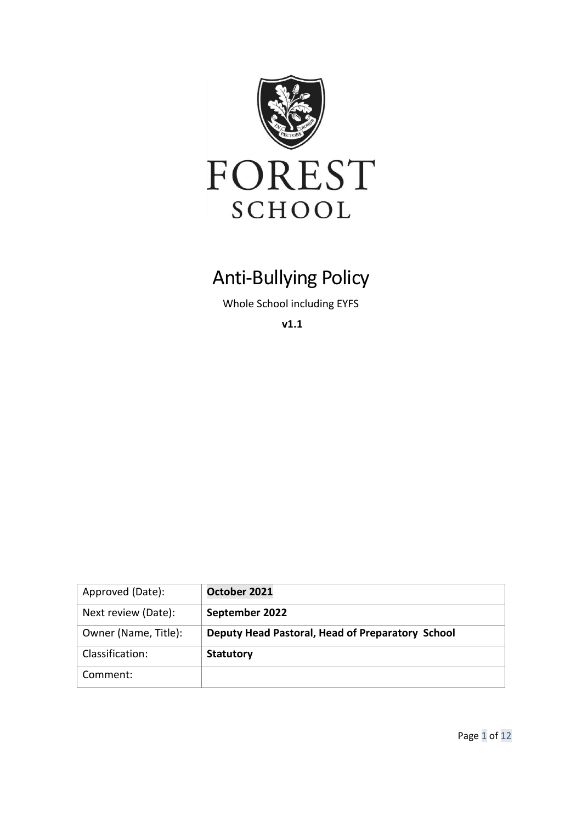

# Anti-Bullying Policy

Whole School including EYFS

**v1.1**

| Approved (Date):     | October 2021                                     |
|----------------------|--------------------------------------------------|
| Next review (Date):  | September 2022                                   |
| Owner (Name, Title): | Deputy Head Pastoral, Head of Preparatory School |
| Classification:      | <b>Statutory</b>                                 |
| Comment:             |                                                  |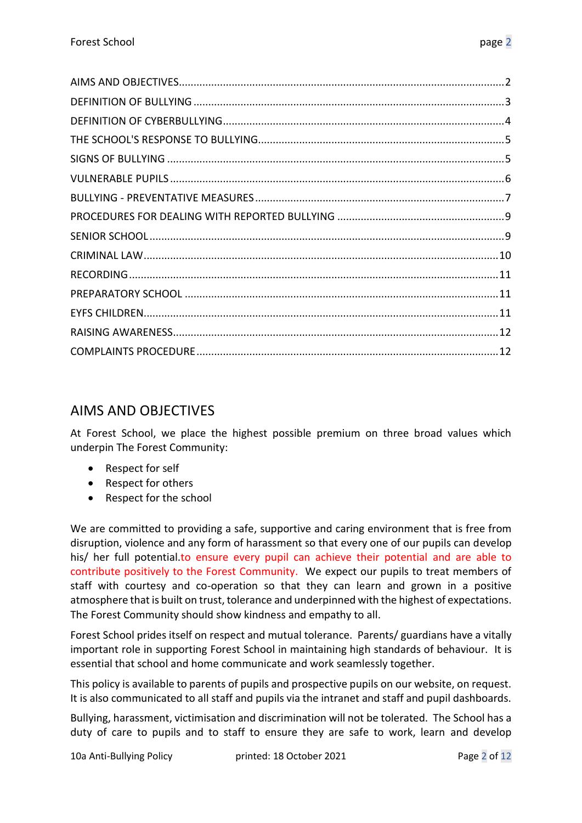# <span id="page-1-0"></span>AIMS AND OBJECTIVES

At Forest School, we place the highest possible premium on three broad values which underpin The Forest Community:

- Respect for self
- Respect for others
- Respect for the school

We are committed to providing a safe, supportive and caring environment that is free from disruption, violence and any form of harassment so that every one of our pupils can develop his/ her full potential.to ensure every pupil can achieve their potential and are able to contribute positively to the Forest Community. We expect our pupils to treat members of staff with courtesy and co-operation so that they can learn and grown in a positive atmosphere that is built on trust, tolerance and underpinned with the highest of expectations. The Forest Community should show kindness and empathy to all.

Forest School prides itself on respect and mutual tolerance. Parents/ guardians have a vitally important role in supporting Forest School in maintaining high standards of behaviour. It is essential that school and home communicate and work seamlessly together.

This policy is available to parents of pupils and prospective pupils on our website, on request. It is also communicated to all staff and pupils via the intranet and staff and pupil dashboards.

Bullying, harassment, victimisation and discrimination will not be tolerated. The School has a duty of care to pupils and to staff to ensure they are safe to work, learn and develop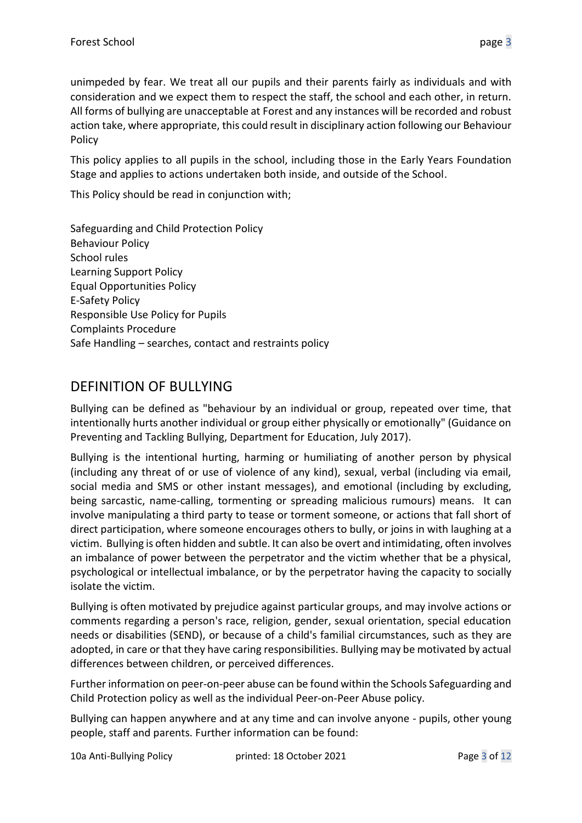unimpeded by fear. We treat all our pupils and their parents fairly as individuals and with consideration and we expect them to respect the staff, the school and each other, in return. All forms of bullying are unacceptable at Forest and any instances will be recorded and robust action take, where appropriate, this could result in disciplinary action following our Behaviour Policy

This policy applies to all pupils in the school, including those in the Early Years Foundation Stage and applies to actions undertaken both inside, and outside of the School.

This Policy should be read in conjunction with;

Safeguarding and Child Protection Policy Behaviour Policy School rules Learning Support Policy Equal Opportunities Policy E-Safety Policy Responsible Use Policy for Pupils Complaints Procedure Safe Handling – searches, contact and restraints policy

# <span id="page-2-0"></span>DEFINITION OF BULLYING

Bullying can be defined as "behaviour by an individual or group, repeated over time, that intentionally hurts another individual or group either physically or emotionally" (Guidance on Preventing and Tackling Bullying, Department for Education, July 2017).

Bullying is the intentional hurting, harming or humiliating of another person by physical (including any threat of or use of violence of any kind), sexual, verbal (including via email, social media and SMS or other instant messages), and emotional (including by excluding, being sarcastic, name-calling, tormenting or spreading malicious rumours) means. It can involve manipulating a third party to tease or torment someone, or actions that fall short of direct participation, where someone encourages others to bully, or joins in with laughing at a victim. Bullying is often hidden and subtle. It can also be overt and intimidating, often involves an imbalance of power between the perpetrator and the victim whether that be a physical, psychological or intellectual imbalance, or by the perpetrator having the capacity to socially isolate the victim.

Bullying is often motivated by prejudice against particular groups, and may involve actions or comments regarding a person's race, religion, gender, sexual orientation, special education needs or disabilities (SEND), or because of a child's familial circumstances, such as they are adopted, in care or that they have caring responsibilities. Bullying may be motivated by actual differences between children, or perceived differences.

Further information on peer-on-peer abuse can be found within the Schools Safeguarding and Child Protection policy as well as the individual Peer-on-Peer Abuse policy.

Bullying can happen anywhere and at any time and can involve anyone - pupils, other young people, staff and parents. Further information can be found: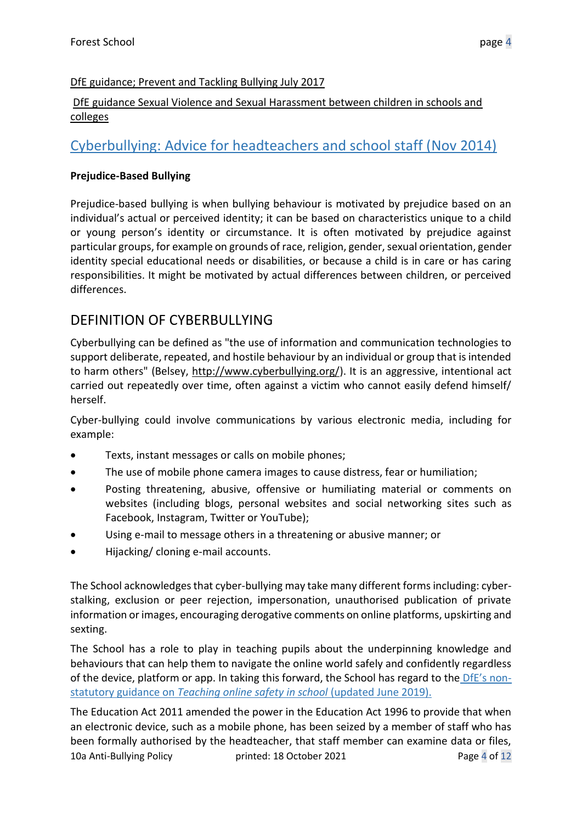#### [DfE guidance; Prevent and Tackling Bullying July 2017](https://www.gov.uk/government/uploads/system/uploads/attachment_data/file/623895/Preventing_and_tackling_bullying_advice.pdf)

#### [DfE guidance Sexual Violence and Sexual Harassment between children in schools and](https://www.gov.uk/government/publications/sexual-violence-and-sexual-harassment-between-children-in-schools-and-colleges)  [colleges](https://www.gov.uk/government/publications/sexual-violence-and-sexual-harassment-between-children-in-schools-and-colleges)

# [Cyberbullying: Advice for headteachers and school staff \(Nov 2014\)](https://www.gov.uk/government/publications/preventing-and-tackling-bullying)

#### **Prejudice-Based Bullying**

Prejudice-based bullying is when bullying behaviour is motivated by prejudice based on an individual's actual or perceived identity; it can be based on characteristics unique to a child or young person's identity or circumstance. It is often motivated by prejudice against particular groups, for example on grounds of race, religion, gender, sexual orientation, gender identity special educational needs or disabilities, or because a child is in care or has caring responsibilities. It might be motivated by actual differences between children, or perceived differences.

# <span id="page-3-0"></span>DEFINITION OF CYBERBULLYING

Cyberbullying can be defined as "the use of information and communication technologies to support deliberate, repeated, and hostile behaviour by an individual or group that is intended to harm others" (Belsey, [http://www.cyberbullying.org/\)](http://www.cyberbullying.org/). It is an aggressive, intentional act carried out repeatedly over time, often against a victim who cannot easily defend himself/ herself.

Cyber-bullying could involve communications by various electronic media, including for example:

- Texts, instant messages or calls on mobile phones;
- The use of mobile phone camera images to cause distress, fear or humiliation;
- Posting threatening, abusive, offensive or humiliating material or comments on websites (including blogs, personal websites and social networking sites such as Facebook, Instagram, Twitter or YouTube);
- Using e-mail to message others in a threatening or abusive manner; or
- Hijacking/ cloning e-mail accounts.

The School acknowledges that cyber-bullying may take many different forms including: cyberstalking, exclusion or peer rejection, impersonation, unauthorised publication of private information or images, encouraging derogative comments on online platforms, upskirting and sexting.

The School has a role to play in teaching pupils about the underpinning knowledge and behaviours that can help them to navigate the online world safely and confidently regardless of the device, platform or app. In taking this forward, the School has regard to the [DfE's non](https://www.gov.uk/government/publications/teaching-online-safety-in-schools)statutory guidance on *[Teaching online safety in school](https://www.gov.uk/government/publications/teaching-online-safety-in-schools)* (updated June 2019).

10a Anti-Bullying Policy printed: 18 October 2021 Page 4 of 12 The Education Act 2011 amended the power in the Education Act 1996 to provide that when an electronic device, such as a mobile phone, has been seized by a member of staff who has been formally authorised by the headteacher, that staff member can examine data or files,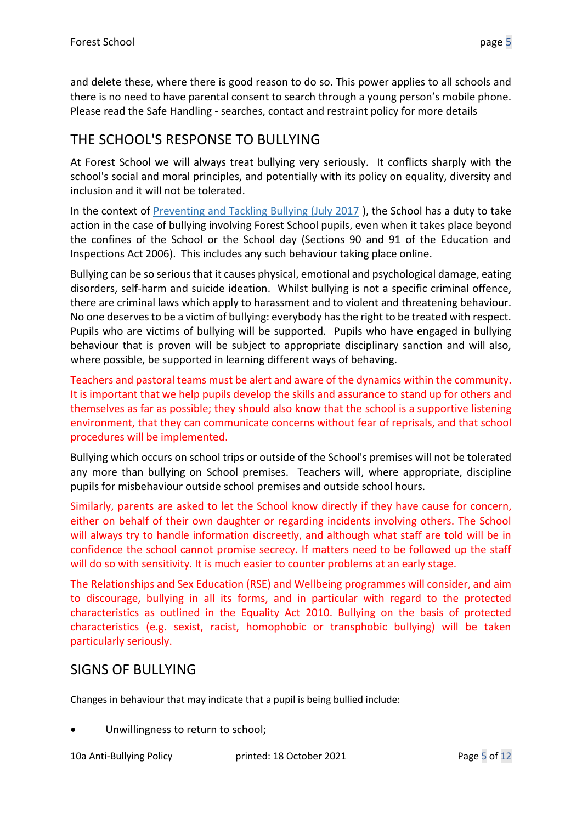and delete these, where there is good reason to do so. This power applies to all schools and there is no need to have parental consent to search through a young person's mobile phone. Please read the Safe Handling - searches, contact and restraint policy for more details

# <span id="page-4-0"></span>THE SCHOOL'S RESPONSE TO BULLYING

At Forest School we will always treat bullying very seriously. It conflicts sharply with the school's social and moral principles, and potentially with its policy on equality, diversity and inclusion and it will not be tolerated.

In the context of [Preventing and Tackling Bullying \(July 2017](https://assets.publishing.service.gov.uk/government/uploads/system/uploads/attachment_data/file/623895/Preventing_and_tackling_bullying_advice.pdf) ), the School has a duty to take action in the case of bullying involving Forest School pupils, even when it takes place beyond the confines of the School or the School day (Sections 90 and 91 of the Education and Inspections Act 2006). This includes any such behaviour taking place online.

Bullying can be so serious that it causes physical, emotional and psychological damage, eating disorders, self-harm and suicide ideation. Whilst bullying is not a specific criminal offence, there are criminal laws which apply to harassment and to violent and threatening behaviour. No one deserves to be a victim of bullying: everybody has the right to be treated with respect. Pupils who are victims of bullying will be supported. Pupils who have engaged in bullying behaviour that is proven will be subject to appropriate disciplinary sanction and will also, where possible, be supported in learning different ways of behaving.

Teachers and pastoral teams must be alert and aware of the dynamics within the community. It is important that we help pupils develop the skills and assurance to stand up for others and themselves as far as possible; they should also know that the school is a supportive listening environment, that they can communicate concerns without fear of reprisals, and that school procedures will be implemented.

Bullying which occurs on school trips or outside of the School's premises will not be tolerated any more than bullying on School premises. Teachers will, where appropriate, discipline pupils for misbehaviour outside school premises and outside school hours.

Similarly, parents are asked to let the School know directly if they have cause for concern, either on behalf of their own daughter or regarding incidents involving others. The School will always try to handle information discreetly, and although what staff are told will be in confidence the school cannot promise secrecy. If matters need to be followed up the staff will do so with sensitivity. It is much easier to counter problems at an early stage.

The Relationships and Sex Education (RSE) and Wellbeing programmes will consider, and aim to discourage, bullying in all its forms, and in particular with regard to the protected characteristics as outlined in the Equality Act 2010. Bullying on the basis of protected characteristics (e.g. sexist, racist, homophobic or transphobic bullying) will be taken particularly seriously.

### <span id="page-4-1"></span>SIGNS OF BULLYING

Changes in behaviour that may indicate that a pupil is being bullied include:

Unwillingness to return to school;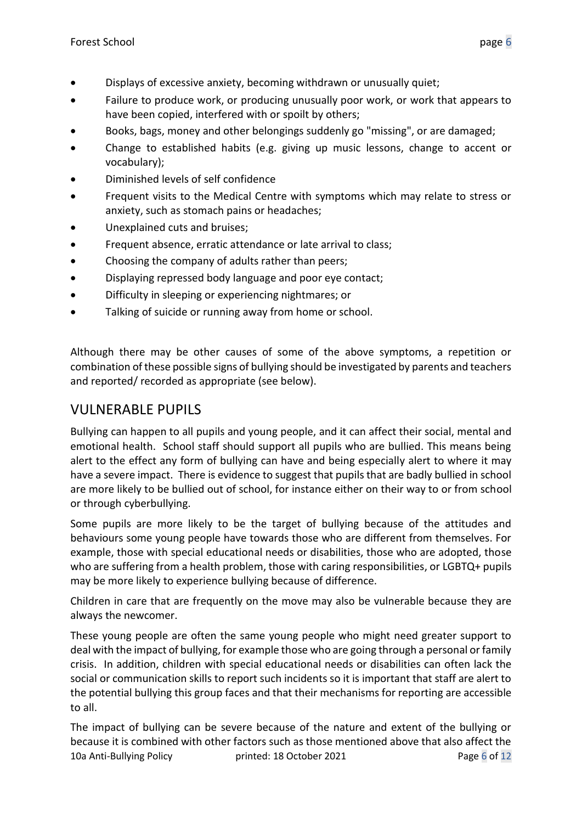- Displays of excessive anxiety, becoming withdrawn or unusually quiet;
- Failure to produce work, or producing unusually poor work, or work that appears to have been copied, interfered with or spoilt by others;
- Books, bags, money and other belongings suddenly go "missing", or are damaged;
- Change to established habits (e.g. giving up music lessons, change to accent or vocabulary);
- Diminished levels of self confidence
- Frequent visits to the Medical Centre with symptoms which may relate to stress or anxiety, such as stomach pains or headaches;
- Unexplained cuts and bruises:
- Frequent absence, erratic attendance or late arrival to class;
- Choosing the company of adults rather than peers;
- Displaying repressed body language and poor eye contact;
- Difficulty in sleeping or experiencing nightmares; or
- Talking of suicide or running away from home or school.

Although there may be other causes of some of the above symptoms, a repetition or combination of these possible signs of bullying should be investigated by parents and teachers and reported/ recorded as appropriate (see below).

# <span id="page-5-0"></span>VULNERABLE PUPILS

Bullying can happen to all pupils and young people, and it can affect their social, mental and emotional health. School staff should support all pupils who are bullied. This means being alert to the effect any form of bullying can have and being especially alert to where it may have a severe impact. There is evidence to suggest that pupils that are badly bullied in school are more likely to be bullied out of school, for instance either on their way to or from school or through cyberbullying.

Some pupils are more likely to be the target of bullying because of the attitudes and behaviours some young people have towards those who are different from themselves. For example, those with special educational needs or disabilities, those who are adopted, those who are suffering from a health problem, those with caring responsibilities, or LGBTQ+ pupils may be more likely to experience bullying because of difference.

Children in care that are frequently on the move may also be vulnerable because they are always the newcomer.

These young people are often the same young people who might need greater support to deal with the impact of bullying, for example those who are going through a personal or family crisis. In addition, children with special educational needs or disabilities can often lack the social or communication skills to report such incidents so it is important that staff are alert to the potential bullying this group faces and that their mechanisms for reporting are accessible to all.

10a Anti-Bullying Policy printed: 18 October 2021 Page 6 of 12 The impact of bullying can be severe because of the nature and extent of the bullying or because it is combined with other factors such as those mentioned above that also affect the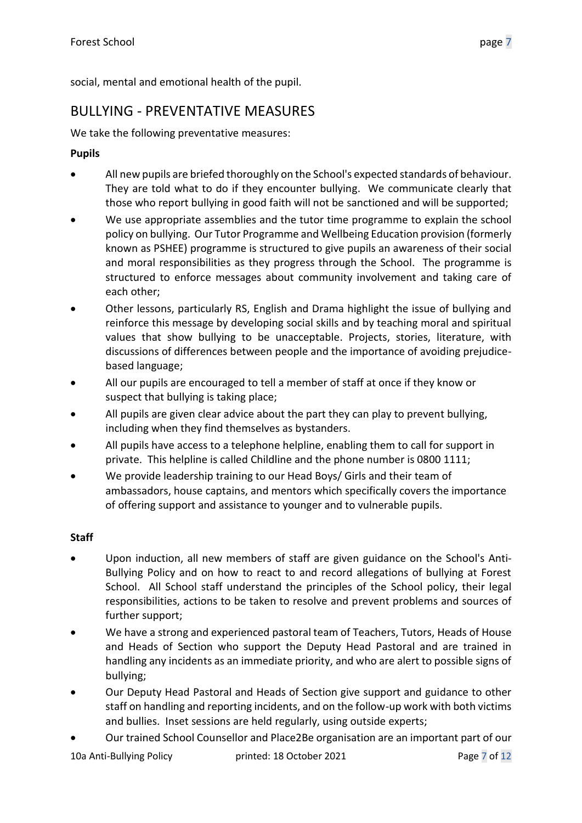social, mental and emotional health of the pupil.

### <span id="page-6-0"></span>BULLYING - PREVENTATIVE MEASURES

We take the following preventative measures:

#### **Pupils**

- All new pupils are briefed thoroughly on the School's expected standards of behaviour. They are told what to do if they encounter bullying. We communicate clearly that those who report bullying in good faith will not be sanctioned and will be supported;
- We use appropriate assemblies and the tutor time programme to explain the school policy on bullying. Our Tutor Programme and Wellbeing Education provision (formerly known as PSHEE) programme is structured to give pupils an awareness of their social and moral responsibilities as they progress through the School. The programme is structured to enforce messages about community involvement and taking care of each other;
- Other lessons, particularly RS, English and Drama highlight the issue of bullying and reinforce this message by developing social skills and by teaching moral and spiritual values that show bullying to be unacceptable. Projects, stories, literature, with discussions of differences between people and the importance of avoiding prejudicebased language;
- All our pupils are encouraged to tell a member of staff at once if they know or suspect that bullying is taking place;
- All pupils are given clear advice about the part they can play to prevent bullying, including when they find themselves as bystanders.
- All pupils have access to a telephone helpline, enabling them to call for support in private. This helpline is called Childline and the phone number is 0800 1111;
- We provide leadership training to our Head Boys/ Girls and their team of ambassadors, house captains, and mentors which specifically covers the importance of offering support and assistance to younger and to vulnerable pupils.

#### **Staff**

- Upon induction, all new members of staff are given guidance on the School's Anti-Bullying Policy and on how to react to and record allegations of bullying at Forest School. All School staff understand the principles of the School policy, their legal responsibilities, actions to be taken to resolve and prevent problems and sources of further support;
- We have a strong and experienced pastoral team of Teachers, Tutors, Heads of House and Heads of Section who support the Deputy Head Pastoral and are trained in handling any incidents as an immediate priority, and who are alert to possible signs of bullying;
- Our Deputy Head Pastoral and Heads of Section give support and guidance to other staff on handling and reporting incidents, and on the follow-up work with both victims and bullies. Inset sessions are held regularly, using outside experts;
- Our trained School Counsellor and Place2Be organisation are an important part of our

10a Anti-Bullying Policy printed: 18 October 2021 Page 7 of 12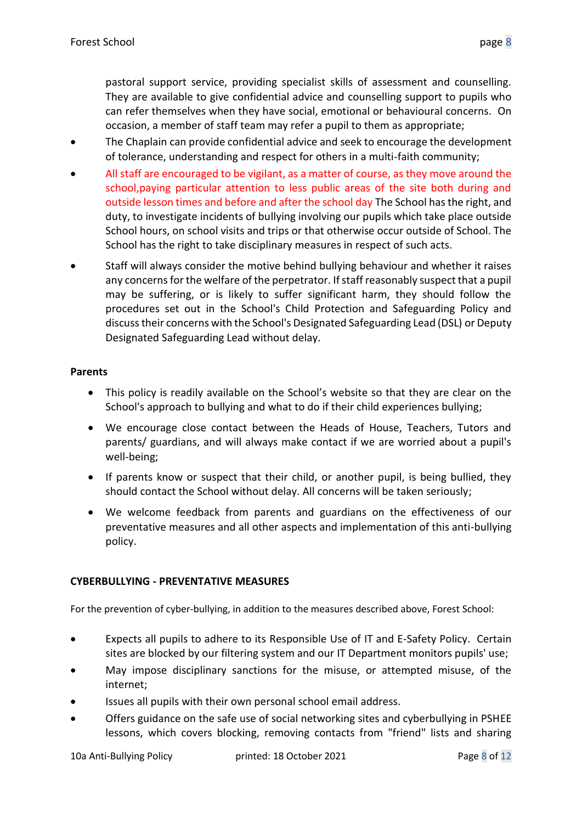pastoral support service, providing specialist skills of assessment and counselling. They are available to give confidential advice and counselling support to pupils who can refer themselves when they have social, emotional or behavioural concerns. On occasion, a member of staff team may refer a pupil to them as appropriate;

- The Chaplain can provide confidential advice and seek to encourage the development of tolerance, understanding and respect for others in a multi-faith community;
- All staff are encouraged to be vigilant, as a matter of course, as they move around the school,paying particular attention to less public areas of the site both during and outside lesson times and before and after the school day The School has the right, and duty, to investigate incidents of bullying involving our pupils which take place outside School hours, on school visits and trips or that otherwise occur outside of School. The School has the right to take disciplinary measures in respect of such acts.
- Staff will always consider the motive behind bullying behaviour and whether it raises any concerns for the welfare of the perpetrator. If staff reasonably suspect that a pupil may be suffering, or is likely to suffer significant harm, they should follow the procedures set out in the School's Child Protection and Safeguarding Policy and discuss their concerns with the School's Designated Safeguarding Lead (DSL) or Deputy Designated Safeguarding Lead without delay.

#### **Parents**

- This policy is readily available on the School's website so that they are clear on the School's approach to bullying and what to do if their child experiences bullying;
- We encourage close contact between the Heads of House, Teachers, Tutors and parents/ guardians, and will always make contact if we are worried about a pupil's well-being;
- If parents know or suspect that their child, or another pupil, is being bullied, they should contact the School without delay. All concerns will be taken seriously;
- We welcome feedback from parents and guardians on the effectiveness of our preventative measures and all other aspects and implementation of this anti-bullying policy.

#### **CYBERBULLYING - PREVENTATIVE MEASURES**

For the prevention of cyber-bullying, in addition to the measures described above, Forest School:

- Expects all pupils to adhere to its Responsible Use of IT and E-Safety Policy. Certain sites are blocked by our filtering system and our IT Department monitors pupils' use;
- May impose disciplinary sanctions for the misuse, or attempted misuse, of the internet;
- Issues all pupils with their own personal school email address.
- Offers guidance on the safe use of social networking sites and cyberbullying in PSHEE lessons, which covers blocking, removing contacts from "friend" lists and sharing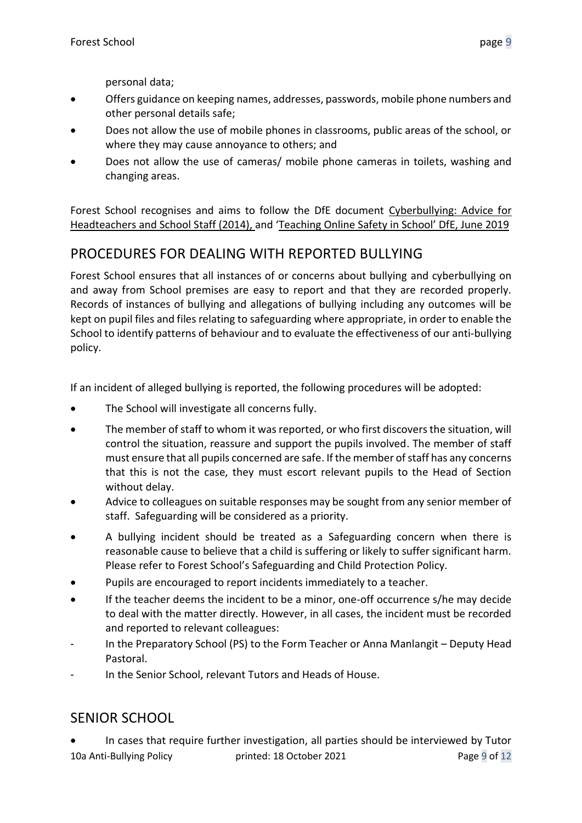personal data;

- Offers guidance on keeping names, addresses, passwords, mobile phone numbers and other personal details safe;
- Does not allow the use of mobile phones in classrooms, public areas of the school, or where they may cause annoyance to others; and
- Does not allow the use of cameras/ mobile phone cameras in toilets, washing and changing areas.

Forest School recognises and aims to follow the DfE document [Cyberbullying:](https://assets.publishing.service.gov.uk/government/uploads/system/uploads/attachment_data/file/374850/Cyberbullying_Advice_for_Headteachers_and_School_Staff_121114.pdf) Advice for [Headteachers and School Staff \(2014\),](https://assets.publishing.service.gov.uk/government/uploads/system/uploads/attachment_data/file/374850/Cyberbullying_Advice_for_Headteachers_and_School_Staff_121114.pdf) and ['Teaching Online Safety in School' DfE, June 2019](https://www.gov.uk/government/publications/teaching-online-safety-in-schools)

# <span id="page-8-0"></span>PROCEDURES FOR DEALING WITH REPORTED BULLYING

Forest School ensures that all instances of or concerns about bullying and cyberbullying on and away from School premises are easy to report and that they are recorded properly. Records of instances of bullying and allegations of bullying including any outcomes will be kept on pupil files and files relating to safeguarding where appropriate, in order to enable the School to identify patterns of behaviour and to evaluate the effectiveness of our anti-bullying policy.

If an incident of alleged bullying is reported, the following procedures will be adopted:

- The School will investigate all concerns fully.
- The member of staff to whom it was reported, or who first discovers the situation, will control the situation, reassure and support the pupils involved. The member of staff must ensure that all pupils concerned are safe. If the member of staff has any concerns that this is not the case, they must escort relevant pupils to the Head of Section without delay.
- Advice to colleagues on suitable responses may be sought from any senior member of staff. Safeguarding will be considered as a priority.
- A bullying incident should be treated as a Safeguarding concern when there is reasonable cause to believe that a child is suffering or likely to suffer significant harm. Please refer to Forest School's Safeguarding and Child Protection Policy.
- Pupils are encouraged to report incidents immediately to a teacher.
- If the teacher deems the incident to be a minor, one-off occurrence s/he may decide to deal with the matter directly. However, in all cases, the incident must be recorded and reported to relevant colleagues:
- In the Preparatory School (PS) to the Form Teacher or Anna Manlangit Deputy Head Pastoral.
- In the Senior School, relevant Tutors and Heads of House.

### <span id="page-8-1"></span>SENIOR SCHOOL

10a Anti-Bullying Policy printed: 18 October 2021 Page 9 of 12 • In cases that require further investigation, all parties should be interviewed by Tutor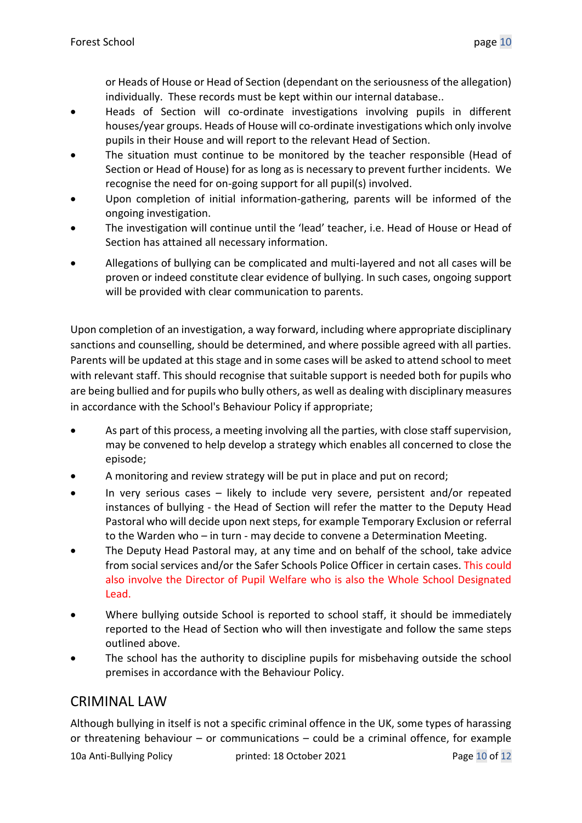or Heads of House or Head of Section (dependant on the seriousness of the allegation) individually. These records must be kept within our internal database..

- Heads of Section will co-ordinate investigations involving pupils in different houses/year groups. Heads of House will co-ordinate investigations which only involve pupils in their House and will report to the relevant Head of Section.
- The situation must continue to be monitored by the teacher responsible (Head of Section or Head of House) for as long as is necessary to prevent further incidents. We recognise the need for on-going support for all pupil(s) involved.
- Upon completion of initial information-gathering, parents will be informed of the ongoing investigation.
- The investigation will continue until the 'lead' teacher, i.e. Head of House or Head of Section has attained all necessary information.
- Allegations of bullying can be complicated and multi-layered and not all cases will be proven or indeed constitute clear evidence of bullying. In such cases, ongoing support will be provided with clear communication to parents.

Upon completion of an investigation, a way forward, including where appropriate disciplinary sanctions and counselling, should be determined, and where possible agreed with all parties. Parents will be updated at this stage and in some cases will be asked to attend school to meet with relevant staff. This should recognise that suitable support is needed both for pupils who are being bullied and for pupils who bully others, as well as dealing with disciplinary measures in accordance with the School's Behaviour Policy if appropriate;

- As part of this process, a meeting involving all the parties, with close staff supervision, may be convened to help develop a strategy which enables all concerned to close the episode;
- A monitoring and review strategy will be put in place and put on record;
- In very serious cases likely to include very severe, persistent and/or repeated instances of bullying - the Head of Section will refer the matter to the Deputy Head Pastoral who will decide upon next steps, for example Temporary Exclusion or referral to the Warden who – in turn - may decide to convene a Determination Meeting.
- The Deputy Head Pastoral may, at any time and on behalf of the school, take advice from social services and/or the Safer Schools Police Officer in certain cases. This could also involve the Director of Pupil Welfare who is also the Whole School Designated Lead.
- Where bullying outside School is reported to school staff, it should be immediately reported to the Head of Section who will then investigate and follow the same steps outlined above.
- The school has the authority to discipline pupils for misbehaving outside the school premises in accordance with the Behaviour Policy.

### <span id="page-9-0"></span>CRIMINAL LAW

Although bullying in itself is not a specific criminal offence in the UK, some types of harassing or threatening behaviour – or communications – could be a criminal offence, for example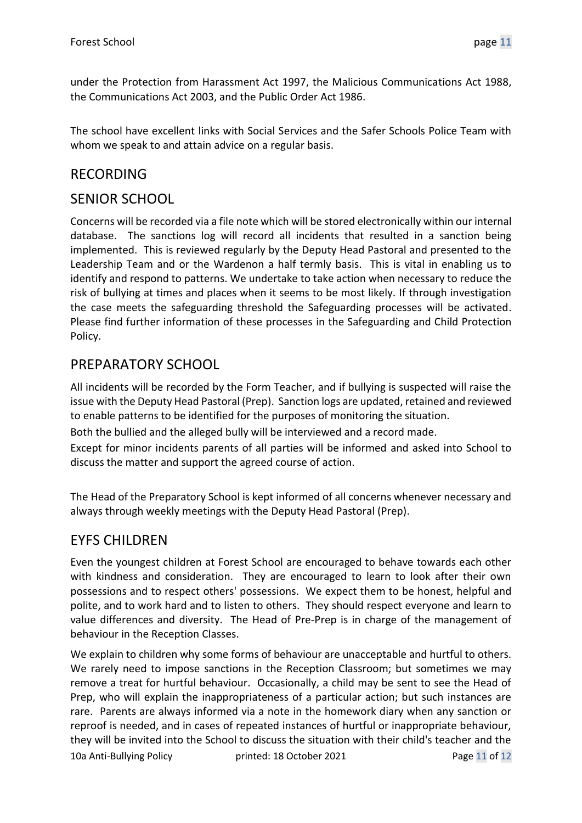under the Protection from Harassment Act 1997, the Malicious Communications Act 1988, the Communications Act 2003, and the Public Order Act 1986.

The school have excellent links with Social Services and the Safer Schools Police Team with whom we speak to and attain advice on a regular basis.

## <span id="page-10-0"></span>RECORDING

### SENIOR SCHOOL

Concerns will be recorded via a file note which will be stored electronically within our internal database. The sanctions log will record all incidents that resulted in a sanction being implemented. This is reviewed regularly by the Deputy Head Pastoral and presented to the Leadership Team and or the Wardenon a half termly basis. This is vital in enabling us to identify and respond to patterns. We undertake to take action when necessary to reduce the risk of bullying at times and places when it seems to be most likely. If through investigation the case meets the safeguarding threshold the Safeguarding processes will be activated. Please find further information of these processes in the Safeguarding and Child Protection Policy.

### <span id="page-10-1"></span>PREPARATORY SCHOOL

All incidents will be recorded by the Form Teacher, and if bullying is suspected will raise the issue with the Deputy Head Pastoral (Prep). Sanction logs are updated, retained and reviewed to enable patterns to be identified for the purposes of monitoring the situation.

Both the bullied and the alleged bully will be interviewed and a record made.

Except for minor incidents parents of all parties will be informed and asked into School to discuss the matter and support the agreed course of action.

The Head of the Preparatory School is kept informed of all concerns whenever necessary and always through weekly meetings with the Deputy Head Pastoral (Prep).

### <span id="page-10-2"></span>EYFS CHILDREN

Even the youngest children at Forest School are encouraged to behave towards each other with kindness and consideration. They are encouraged to learn to look after their own possessions and to respect others' possessions. We expect them to be honest, helpful and polite, and to work hard and to listen to others. They should respect everyone and learn to value differences and diversity. The Head of Pre-Prep is in charge of the management of behaviour in the Reception Classes.

10a Anti-Bullying Policy printed: 18 October 2021 Page 11 of 12 We explain to children why some forms of behaviour are unacceptable and hurtful to others. We rarely need to impose sanctions in the Reception Classroom; but sometimes we may remove a treat for hurtful behaviour. Occasionally, a child may be sent to see the Head of Prep, who will explain the inappropriateness of a particular action; but such instances are rare. Parents are always informed via a note in the homework diary when any sanction or reproof is needed, and in cases of repeated instances of hurtful or inappropriate behaviour, they will be invited into the School to discuss the situation with their child's teacher and the